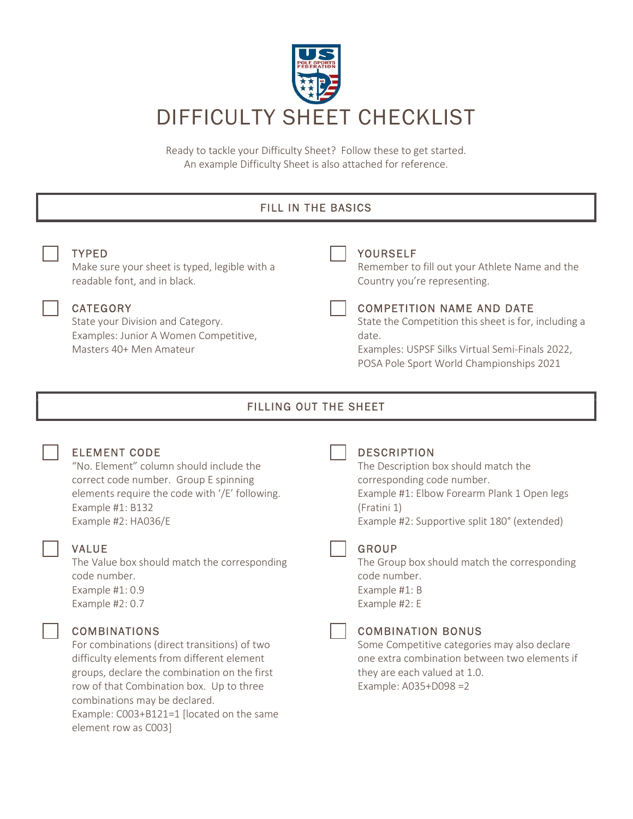

Ready to tackle your Difficulty Sheet? Follow these to get started. An example Difficulty Sheet is also attached for reference.

## FILL IN THE BASICS TYPED Make sure your sheet is typed, legible with a readable font, and in black. YOURSELF Remember to fill out your Athlete Name and the Country you're representing. **CATEGORY** State your Division and Category. Examples: Junior A Women Competitive, Masters 40+ Men Amateur COMPETITION NAME AND DATE State the Competition this sheet is for, including a date. Examples: USPSF Silks Virtual Semi-Finals 2022, POSA Pole Sport World Championships 2021 FILLING OUT THE SHEET ELEMENT CODE "No. Element" column should include the correct code number. Group E spinning elements require the code with '/E' following. Example #1: B132 Example #2: HA036/E **DESCRIPTION** The Description box should match the corresponding code number. Example #1: Elbow Forearm Plank 1 Open legs (Fratini 1) Example #2: Supportive split 180° (extended) VALUE The Value box should match the corresponding code number. Example #1: 0.9 Example #2: 0.7 **GROUP** The Group box should match the corresponding code number. Example #1: B Example #2: E

## COMBINATIONS

For combinations (direct transitions) of two difficulty elements from different element groups, declare the combination on the first row of that Combination box. Up to three combinations may be declared. Example: C003+B121=1 [located on the same element row as C003]

## COMBINATION BONUS

Some Competitive categories may also declare one extra combination between two elements if they are each valued at 1.0. Example: A035+D098 =2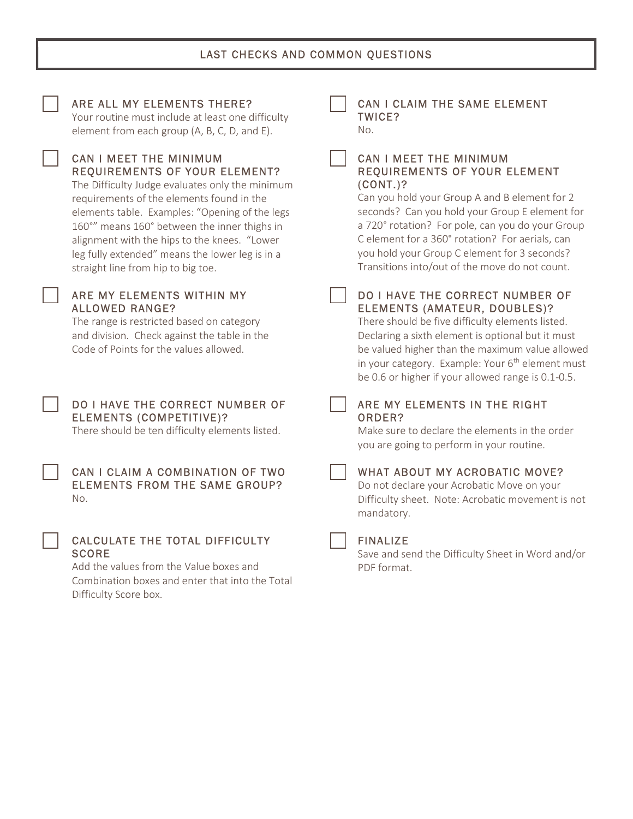